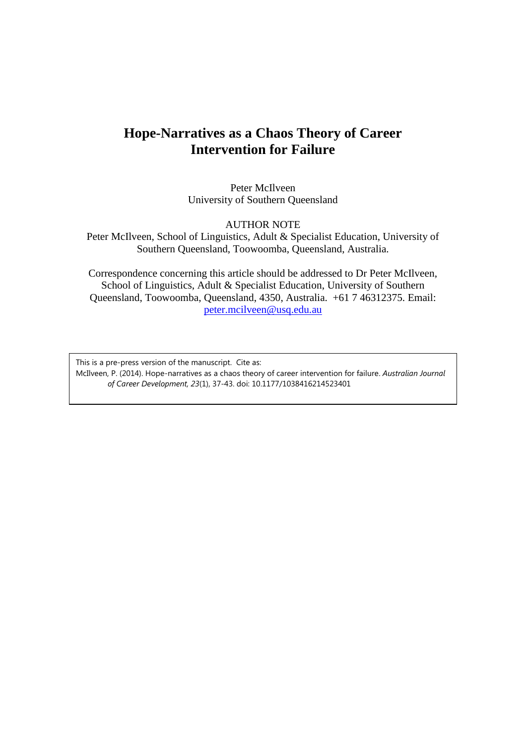# **Hope-Narratives as a Chaos Theory of Career Intervention for Failure**

Peter McIlveen University of Southern Queensland

AUTHOR NOTE

Peter McIlveen, School of Linguistics, Adult & Specialist Education, University of Southern Queensland, Toowoomba, Queensland, Australia.

Correspondence concerning this article should be addressed to Dr Peter McIlveen, School of Linguistics, Adult & Specialist Education, University of Southern Queensland, Toowoomba, Queensland, 4350, Australia. +61 7 46312375. Email: [peter.mcilveen@usq.edu.au](mailto:peter.mcilveen@usq.edu.au)

This is a pre-press version of the manuscript. Cite as: McIlveen, P. (2014). Hope-narratives as a chaos theory of career intervention for failure. *Australian Journal of Career Development, 23*(1), 37-43. doi: 10.1177/1038416214523401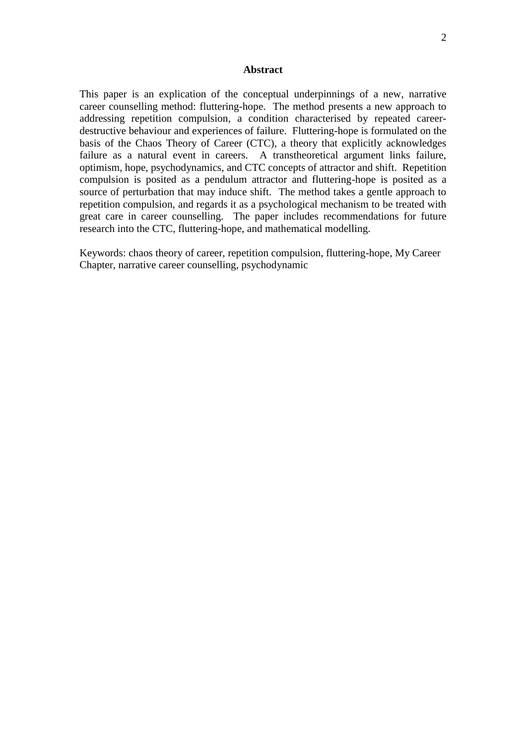#### **Abstract**

This paper is an explication of the conceptual underpinnings of a new, narrative career counselling method: fluttering-hope. The method presents a new approach to addressing repetition compulsion, a condition characterised by repeated careerdestructive behaviour and experiences of failure. Fluttering-hope is formulated on the basis of the Chaos Theory of Career (CTC), a theory that explicitly acknowledges failure as a natural event in careers. A transtheoretical argument links failure, optimism, hope, psychodynamics, and CTC concepts of attractor and shift. Repetition compulsion is posited as a pendulum attractor and fluttering-hope is posited as a source of perturbation that may induce shift. The method takes a gentle approach to repetition compulsion, and regards it as a psychological mechanism to be treated with great care in career counselling. The paper includes recommendations for future research into the CTC, fluttering-hope, and mathematical modelling.

Keywords: chaos theory of career, repetition compulsion, fluttering-hope, My Career Chapter, narrative career counselling, psychodynamic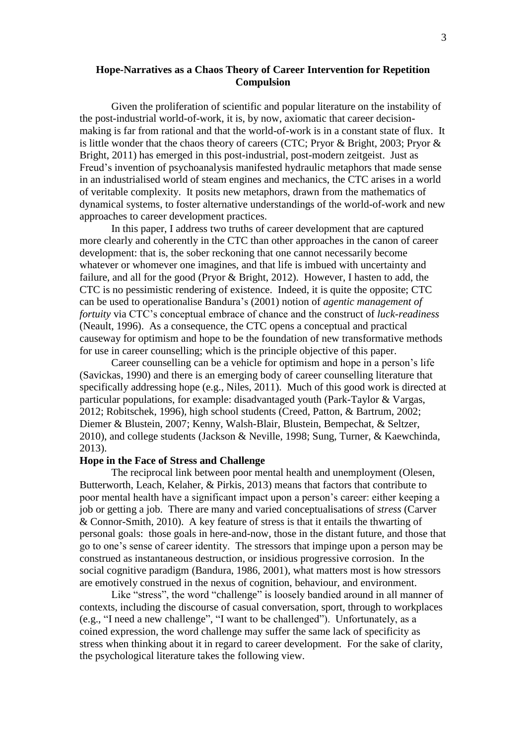## **Hope-Narratives as a Chaos Theory of Career Intervention for Repetition Compulsion**

Given the proliferation of scientific and popular literature on the instability of the post-industrial world-of-work, it is, by now, axiomatic that career decisionmaking is far from rational and that the world-of-work is in a constant state of flux. It is little wonder that the chaos theory of careers (CTC; [Pryor & Bright, 2003;](#page-11-0) [Pryor &](#page-11-1)  [Bright, 2011\)](#page-11-1) has emerged in this post-industrial, post-modern zeitgeist. Just as Freud's invention of psychoanalysis manifested hydraulic metaphors that made sense in an industrialised world of steam engines and mechanics, the CTC arises in a world of veritable complexity. It posits new metaphors, drawn from the mathematics of dynamical systems, to foster alternative understandings of the world-of-work and new approaches to career development practices.

In this paper, I address two truths of career development that are captured more clearly and coherently in the CTC than other approaches in the canon of career development: that is, the sober reckoning that one cannot necessarily become whatever or whomever one imagines, and that life is imbued with uncertainty and failure, and all for the good [\(Pryor & Bright, 2012\)](#page-11-2). However, I hasten to add, the CTC is no pessimistic rendering of existence. Indeed, it is quite the opposite; CTC can be used to operationalise Bandura's [\(2001\)](#page-9-0) notion of *agentic management of fortuity* via CTC's conceptual embrace of chance and the construct of *luck-readiness* [\(Neault, 1996\)](#page-10-0). As a consequence, the CTC opens a conceptual and practical causeway for optimism and hope to be the foundation of new transformative methods for use in career counselling; which is the principle objective of this paper.

Career counselling can be a vehicle for optimism and hope in a person's life [\(Savickas, 1990\)](#page-11-3) and there is an emerging body of career counselling literature that specifically addressing hope [\(e.g., Niles, 2011\)](#page-10-1). Much of this good work is directed at particular populations, for example: disadvantaged youth [\(Park-Taylor & Vargas,](#page-10-2)  [2012;](#page-10-2) [Robitschek, 1996\)](#page-11-4), high school students [\(Creed, Patton, & Bartrum, 2002;](#page-9-1) [Diemer & Blustein, 2007;](#page-9-2) [Kenny, Walsh-Blair, Blustein, Bempechat, & Seltzer,](#page-10-3)  [2010\)](#page-10-3), and college students [\(Jackson & Neville, 1998;](#page-9-3) [Sung, Turner, & Kaewchinda,](#page-11-5)  [2013\)](#page-11-5).

## **Hope in the Face of Stress and Challenge**

The reciprocal link between poor mental health and unemployment [\(Olesen,](#page-10-4)  [Butterworth, Leach, Kelaher, & Pirkis, 2013\)](#page-10-4) means that factors that contribute to poor mental health have a significant impact upon a person's career: either keeping a job or getting a job. There are many and varied conceptualisations of *stress* [\(Carver](#page-9-4)  [& Connor-Smith, 2010\)](#page-9-4). A key feature of stress is that it entails the thwarting of personal goals: those goals in here-and-now, those in the distant future, and those that go to one's sense of career identity. The stressors that impinge upon a person may be construed as instantaneous destruction, or insidious progressive corrosion. In the social cognitive paradigm [\(Bandura, 1986,](#page-9-5) [2001\)](#page-9-0), what matters most is how stressors are emotively construed in the nexus of cognition, behaviour, and environment.

Like "stress", the word "challenge" is loosely bandied around in all manner of contexts, including the discourse of casual conversation, sport, through to workplaces (e.g., "I need a new challenge", "I want to be challenged"). Unfortunately, as a coined expression, the word challenge may suffer the same lack of specificity as stress when thinking about it in regard to career development. For the sake of clarity, the psychological literature takes the following view.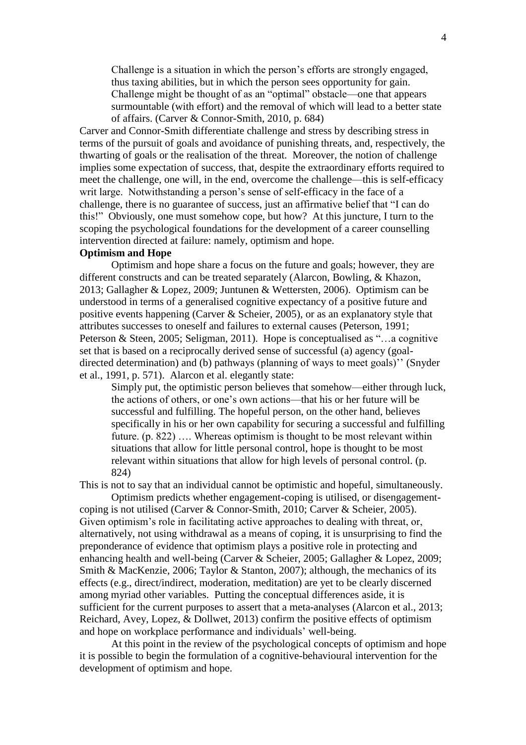Challenge is a situation in which the person's efforts are strongly engaged, thus taxing abilities, but in which the person sees opportunity for gain. Challenge might be thought of as an "optimal" obstacle—one that appears surmountable (with effort) and the removal of which will lead to a better state of affairs. [\(Carver & Connor-Smith, 2010, p. 684\)](#page-9-4)

Carver and Connor-Smith differentiate challenge and stress by describing stress in terms of the pursuit of goals and avoidance of punishing threats, and, respectively, the thwarting of goals or the realisation of the threat. Moreover, the notion of challenge implies some expectation of success, that, despite the extraordinary efforts required to meet the challenge, one will, in the end, overcome the challenge—this is self-efficacy writ large. Notwithstanding a person's sense of self-efficacy in the face of a challenge, there is no guarantee of success, just an affirmative belief that "I can do this!" Obviously, one must somehow cope, but how? At this juncture, I turn to the scoping the psychological foundations for the development of a career counselling intervention directed at failure: namely, optimism and hope.

## **Optimism and Hope**

Optimism and hope share a focus on the future and goals; however, they are different constructs and can be treated separately [\(Alarcon, Bowling, & Khazon,](#page-9-6)  [2013;](#page-9-6) [Gallagher & Lopez, 2009;](#page-9-7) [Juntunen & Wettersten, 2006\)](#page-9-8). Optimism can be understood in terms of a generalised cognitive expectancy of a positive future and positive events happening [\(Carver & Scheier, 2005\)](#page-9-9), or as an explanatory style that attributes successes to oneself and failures to external causes [\(Peterson, 1991;](#page-10-5) [Peterson & Steen, 2005;](#page-10-6) [Seligman, 2011\)](#page-11-6). Hope is conceptualised as "…a cognitive set that is based on a reciprocally derived sense of successful (a) agency (goaldirected determination) and (b) pathways (planning of ways to meet goals)'' [\(Snyder](#page-11-7)  [et al., 1991, p. 571\)](#page-11-7). Alarcon et al. elegantly state:

Simply put, the optimistic person believes that somehow—either through luck, the actions of others, or one's own actions—that his or her future will be successful and fulfilling. The hopeful person, on the other hand, believes specifically in his or her own capability for securing a successful and fulfilling future. (p. 822) …. Whereas optimism is thought to be most relevant within situations that allow for little personal control, hope is thought to be most relevant within situations that allow for high levels of personal control. (p. 824)

This is not to say that an individual cannot be optimistic and hopeful, simultaneously.

Optimism predicts whether engagement-coping is utilised, or disengagementcoping is not utilised [\(Carver & Connor-Smith, 2010;](#page-9-4) [Carver & Scheier, 2005\)](#page-9-9). Given optimism's role in facilitating active approaches to dealing with threat, or, alternatively, not using withdrawal as a means of coping, it is unsurprising to find the preponderance of evidence that optimism plays a positive role in protecting and enhancing health and well-being [\(Carver & Scheier, 2005;](#page-9-9) [Gallagher & Lopez, 2009;](#page-9-7) [Smith & MacKenzie, 2006;](#page-11-8) [Taylor & Stanton, 2007\)](#page-12-0); although, the mechanics of its effects (e.g., direct/indirect, moderation, meditation) are yet to be clearly discerned among myriad other variables. Putting the conceptual differences aside, it is sufficient for the current purposes to assert that a meta-analyses [\(Alarcon et al., 2013;](#page-9-6) [Reichard, Avey, Lopez, & Dollwet, 2013\)](#page-11-9) confirm the positive effects of optimism and hope on workplace performance and individuals' well-being.

At this point in the review of the psychological concepts of optimism and hope it is possible to begin the formulation of a cognitive-behavioural intervention for the development of optimism and hope.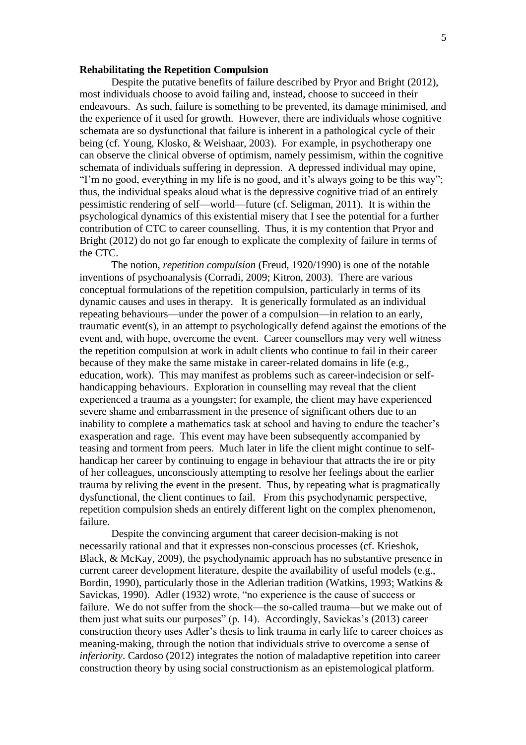#### **Rehabilitating the Repetition Compulsion**

Despite the putative benefits of failure described by [Pryor and Bright \(2012\)](#page-11-2), most individuals choose to avoid failing and, instead, choose to succeed in their endeavours. As such, failure is something to be prevented, its damage minimised, and the experience of it used for growth. However, there are individuals whose cognitive schemata are so dysfunctional that failure is inherent in a pathological cycle of their being [\(cf. Young, Klosko, & Weishaar, 2003\)](#page-12-1). For example, in psychotherapy one can observe the clinical obverse of optimism, namely pessimism, within the cognitive schemata of individuals suffering in depression. A depressed individual may opine, "I'm no good, everything in my life is no good, and it's always going to be this way"; thus, the individual speaks aloud what is the depressive cognitive triad of an entirely pessimistic rendering of self—world—future [\(cf. Seligman, 2011\)](#page-11-6). It is within the psychological dynamics of this existential misery that I see the potential for a further contribution of CTC to career counselling. Thus, it is my contention that Pryor and Bright (2012) do not go far enough to explicate the complexity of failure in terms of the CTC.

The notion, *repetition compulsion* [\(Freud, 1920/1990\)](#page-9-10) is one of the notable inventions of psychoanalysis [\(Corradi, 2009;](#page-9-11) [Kitron, 2003\)](#page-10-7). There are various conceptual formulations of the repetition compulsion, particularly in terms of its dynamic causes and uses in therapy. It is generically formulated as an individual repeating behaviours—under the power of a compulsion—in relation to an early, traumatic event(s), in an attempt to psychologically defend against the emotions of the event and, with hope, overcome the event. Career counsellors may very well witness the repetition compulsion at work in adult clients who continue to fail in their career because of they make the same mistake in career-related domains in life (e.g., education, work). This may manifest as problems such as career-indecision or selfhandicapping behaviours. Exploration in counselling may reveal that the client experienced a trauma as a youngster; for example, the client may have experienced severe shame and embarrassment in the presence of significant others due to an inability to complete a mathematics task at school and having to endure the teacher's exasperation and rage. This event may have been subsequently accompanied by teasing and torment from peers. Much later in life the client might continue to selfhandicap her career by continuing to engage in behaviour that attracts the ire or pity of her colleagues, unconsciously attempting to resolve her feelings about the earlier trauma by reliving the event in the present. Thus, by repeating what is pragmatically dysfunctional, the client continues to fail. From this psychodynamic perspective, repetition compulsion sheds an entirely different light on the complex phenomenon, failure.

Despite the convincing argument that career decision-making is not necessarily rational and that it expresses non-conscious processes [\(cf. Krieshok,](#page-10-8)  [Black, & McKay, 2009\)](#page-10-8), the psychodynamic approach has no substantive presence in current career development literature, despite the availability of useful models [\(e.g.,](#page-9-12)  [Bordin, 1990\)](#page-9-12), particularly those in the Adlerian tradition [\(Watkins, 1993;](#page-12-2) [Watkins &](#page-12-3)  [Savickas, 1990\)](#page-12-3). Adler [\(1932\)](#page-9-13) wrote, "no experience is the cause of success or failure. We do not suffer from the shock—the so-called trauma—but we make out of them just what suits our purposes" (p. 14). Accordingly, Savickas's [\(2013\)](#page-11-10) career construction theory uses Adler's thesis to link trauma in early life to career choices as meaning-making, through the notion that individuals strive to overcome a sense of *inferiority*. Cardoso [\(2012\)](#page-9-14) integrates the notion of maladaptive repetition into career construction theory by using social constructionism as an epistemological platform.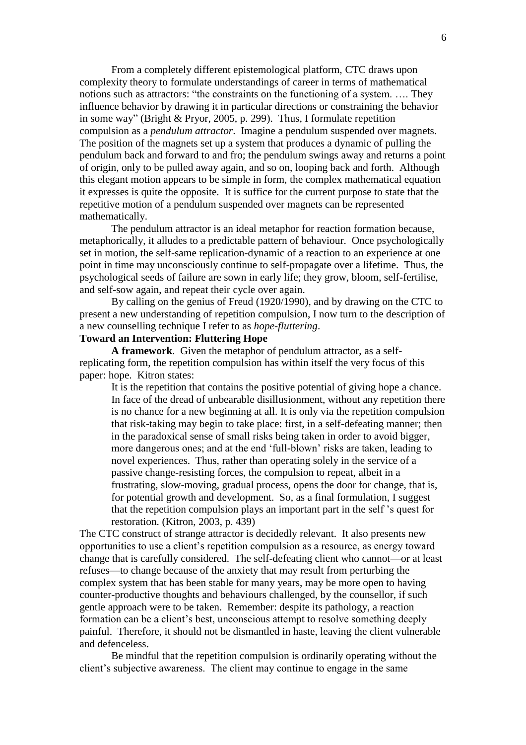From a completely different epistemological platform, CTC draws upon complexity theory to formulate understandings of career in terms of mathematical notions such as attractors: "the constraints on the functioning of a system. …. They influence behavior by drawing it in particular directions or constraining the behavior in some way" [\(Bright & Pryor, 2005, p. 299\)](#page-9-15). Thus, I formulate repetition compulsion as a *pendulum attractor*. Imagine a pendulum suspended over magnets. The position of the magnets set up a system that produces a dynamic of pulling the pendulum back and forward to and fro; the pendulum swings away and returns a point of origin, only to be pulled away again, and so on, looping back and forth. Although this elegant motion appears to be simple in form, the complex mathematical equation it expresses is quite the opposite. It is suffice for the current purpose to state that the repetitive motion of a pendulum suspended over magnets can be represented mathematically.

The pendulum attractor is an ideal metaphor for reaction formation because, metaphorically, it alludes to a predictable pattern of behaviour. Once psychologically set in motion, the self-same replication-dynamic of a reaction to an experience at one point in time may unconsciously continue to self-propagate over a lifetime. Thus, the psychological seeds of failure are sown in early life; they grow, bloom, self-fertilise, and self-sow again, and repeat their cycle over again.

By calling on the genius of Freud [\(1920/1990\)](#page-9-10), and by drawing on the CTC to present a new understanding of repetition compulsion, I now turn to the description of a new counselling technique I refer to as *hope-fluttering*.

## **Toward an Intervention: Fluttering Hope**

**A framework**. Given the metaphor of pendulum attractor, as a selfreplicating form, the repetition compulsion has within itself the very focus of this paper: hope. Kitron states:

It is the repetition that contains the positive potential of giving hope a chance. In face of the dread of unbearable disillusionment, without any repetition there is no chance for a new beginning at all. It is only via the repetition compulsion that risk-taking may begin to take place: first, in a self-defeating manner; then in the paradoxical sense of small risks being taken in order to avoid bigger, more dangerous ones; and at the end 'full-blown' risks are taken, leading to novel experiences. Thus, rather than operating solely in the service of a passive change-resisting forces, the compulsion to repeat, albeit in a frustrating, slow-moving, gradual process, opens the door for change, that is, for potential growth and development. So, as a final formulation, I suggest that the repetition compulsion plays an important part in the self 's quest for restoration. [\(Kitron, 2003, p. 439\)](#page-10-7)

The CTC construct of strange attractor is decidedly relevant. It also presents new opportunities to use a client's repetition compulsion as a resource, as energy toward change that is carefully considered. The self-defeating client who cannot—or at least refuses—to change because of the anxiety that may result from perturbing the complex system that has been stable for many years, may be more open to having counter-productive thoughts and behaviours challenged, by the counsellor, if such gentle approach were to be taken. Remember: despite its pathology, a reaction formation can be a client's best, unconscious attempt to resolve something deeply painful. Therefore, it should not be dismantled in haste, leaving the client vulnerable and defenceless.

Be mindful that the repetition compulsion is ordinarily operating without the client's subjective awareness. The client may continue to engage in the same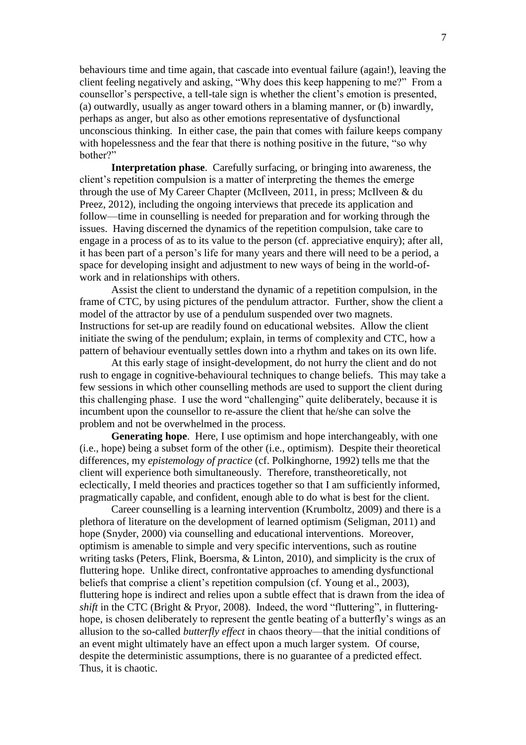behaviours time and time again, that cascade into eventual failure (again!), leaving the client feeling negatively and asking, "Why does this keep happening to me?" From a counsellor's perspective, a tell-tale sign is whether the client's emotion is presented, (a) outwardly, usually as anger toward others in a blaming manner, or (b) inwardly, perhaps as anger, but also as other emotions representative of dysfunctional unconscious thinking. In either case, the pain that comes with failure keeps company with hopelessness and the fear that there is nothing positive in the future, "so why bother?"

**Interpretation phase**. Carefully surfacing, or bringing into awareness, the client's repetition compulsion is a matter of interpreting the themes the emerge through the use of My Career Chapter [\(McIlveen, 2011,](#page-10-9) [in press;](#page-10-10) [McIlveen & du](#page-10-11)  [Preez, 2012\)](#page-10-11), including the ongoing interviews that precede its application and follow—time in counselling is needed for preparation and for working through the issues. Having discerned the dynamics of the repetition compulsion, take care to engage in a process of as to its value to the person (cf. appreciative enquiry); after all, it has been part of a person's life for many years and there will need to be a period, a space for developing insight and adjustment to new ways of being in the world-ofwork and in relationships with others.

Assist the client to understand the dynamic of a repetition compulsion, in the frame of CTC, by using pictures of the pendulum attractor. Further, show the client a model of the attractor by use of a pendulum suspended over two magnets. Instructions for set-up are readily found on educational websites. Allow the client initiate the swing of the pendulum; explain, in terms of complexity and CTC, how a pattern of behaviour eventually settles down into a rhythm and takes on its own life.

At this early stage of insight-development, do not hurry the client and do not rush to engage in cognitive-behavioural techniques to change beliefs. This may take a few sessions in which other counselling methods are used to support the client during this challenging phase. I use the word "challenging" quite deliberately, because it is incumbent upon the counsellor to re-assure the client that he/she can solve the problem and not be overwhelmed in the process.

**Generating hope**. Here, I use optimism and hope interchangeably, with one (i.e., hope) being a subset form of the other (i.e., optimism). Despite their theoretical differences, my *epistemology of practice* [\(cf. Polkinghorne, 1992\)](#page-11-11) tells me that the client will experience both simultaneously. Therefore, transtheoretically, not eclectically, I meld theories and practices together so that I am sufficiently informed, pragmatically capable, and confident, enough able to do what is best for the client.

Career counselling is a learning intervention [\(Krumboltz, 2009\)](#page-10-12) and there is a plethora of literature on the development of learned optimism [\(Seligman, 2011\)](#page-11-6) and hope [\(Snyder, 2000\)](#page-11-12) via counselling and educational interventions. Moreover, optimism is amenable to simple and very specific interventions, such as routine writing tasks [\(Peters, Flink, Boersma, & Linton, 2010\)](#page-10-13), and simplicity is the crux of fluttering hope. Unlike direct, confrontative approaches to amending dysfunctional beliefs that comprise a client's repetition compulsion [\(cf. Young et al., 2003\)](#page-12-1), fluttering hope is indirect and relies upon a subtle effect that is drawn from the idea of *shift* in the CTC [\(Bright & Pryor, 2008\)](#page-9-16). Indeed, the word "fluttering", in flutteringhope, is chosen deliberately to represent the gentle beating of a butterfly's wings as an allusion to the so-called *butterfly effect* in chaos theory—that the initial conditions of an event might ultimately have an effect upon a much larger system. Of course, despite the deterministic assumptions, there is no guarantee of a predicted effect. Thus, it is chaotic.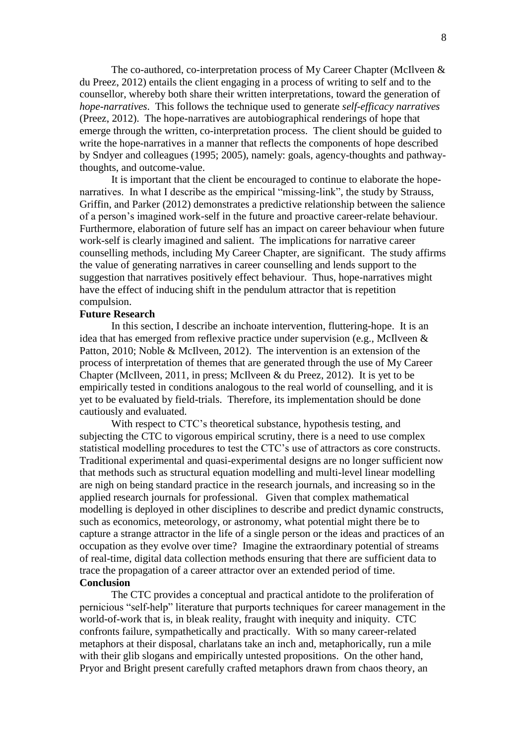The co-authored, co-interpretation process of My Career Chapter [\(McIlveen &](#page-10-11)  [du Preez, 2012\)](#page-10-11) entails the client engaging in a process of writing to self and to the counsellor, whereby both share their written interpretations, toward the generation of *hope-narratives*. This follows the technique used to generate *self-efficacy narratives* [\(Preez, 2012\)](#page-11-13). The hope-narratives are autobiographical renderings of hope that emerge through the written, co-interpretation process. The client should be guided to write the hope-narratives in a manner that reflects the components of hope described by Sndyer and colleagues [\(1995;](#page-11-14) [2005\)](#page-11-15), namely: goals, agency-thoughts and pathwaythoughts, and outcome-value.

It is important that the client be encouraged to continue to elaborate the hopenarratives. In what I describe as the empirical "missing-link", the study by [Strauss,](#page-11-16)  [Griffin, and Parker \(2012\)](#page-11-16) demonstrates a predictive relationship between the salience of a person's imagined work-self in the future and proactive career-relate behaviour. Furthermore, elaboration of future self has an impact on career behaviour when future work-self is clearly imagined and salient. The implications for narrative career counselling methods, including My Career Chapter, are significant. The study affirms the value of generating narratives in career counselling and lends support to the suggestion that narratives positively effect behaviour. Thus, hope-narratives might have the effect of inducing shift in the pendulum attractor that is repetition compulsion.

## **Future Research**

In this section, I describe an inchoate intervention, fluttering-hope. It is an idea that has emerged from reflexive practice under supervision (e.g., [McIlveen &](#page-10-14)  [Patton, 2010;](#page-10-14) [Noble & McIlveen, 2012\)](#page-10-15). The intervention is an extension of the process of interpretation of themes that are generated through the use of My Career Chapter [\(McIlveen, 2011,](#page-10-9) [in press;](#page-10-10) [McIlveen & du Preez, 2012\)](#page-10-11). It is yet to be empirically tested in conditions analogous to the real world of counselling, and it is yet to be evaluated by field-trials. Therefore, its implementation should be done cautiously and evaluated.

With respect to CTC's theoretical substance, hypothesis testing, and subjecting the CTC to vigorous empirical scrutiny, there is a need to use complex statistical modelling procedures to test the CTC's use of attractors as core constructs. Traditional experimental and quasi-experimental designs are no longer sufficient now that methods such as structural equation modelling and multi-level linear modelling are nigh on being standard practice in the research journals, and increasing so in the applied research journals for professional. Given that complex mathematical modelling is deployed in other disciplines to describe and predict dynamic constructs, such as economics, meteorology, or astronomy, what potential might there be to capture a strange attractor in the life of a single person or the ideas and practices of an occupation as they evolve over time? Imagine the extraordinary potential of streams of real-time, digital data collection methods ensuring that there are sufficient data to trace the propagation of a career attractor over an extended period of time. **Conclusion**

The CTC provides a conceptual and practical antidote to the proliferation of pernicious "self-help" literature that purports techniques for career management in the world-of-work that is, in bleak reality, fraught with inequity and iniquity. CTC confronts failure, sympathetically and practically. With so many career-related metaphors at their disposal, charlatans take an inch and, metaphorically, run a mile with their glib slogans and empirically untested propositions. On the other hand, Pryor and Bright present carefully crafted metaphors drawn from chaos theory, an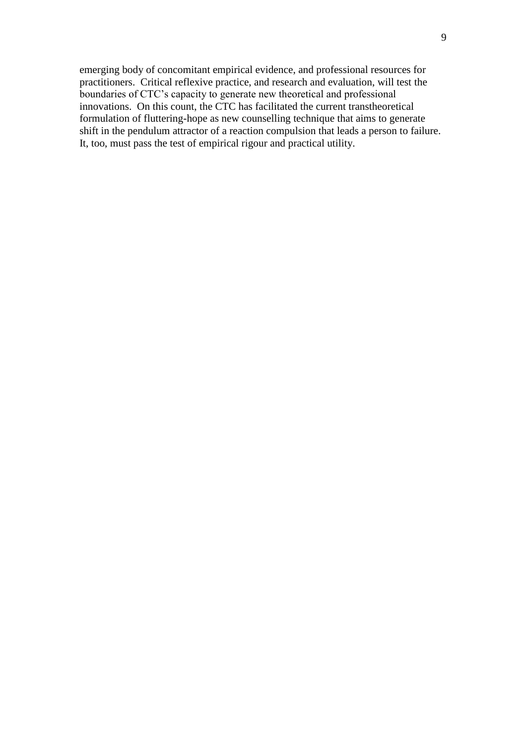emerging body of concomitant empirical evidence, and professional resources for practitioners. Critical reflexive practice, and research and evaluation, will test the boundaries of CTC's capacity to generate new theoretical and professional innovations. On this count, the CTC has facilitated the current transtheoretical formulation of fluttering-hope as new counselling technique that aims to generate shift in the pendulum attractor of a reaction compulsion that leads a person to failure. It, too, must pass the test of empirical rigour and practical utility.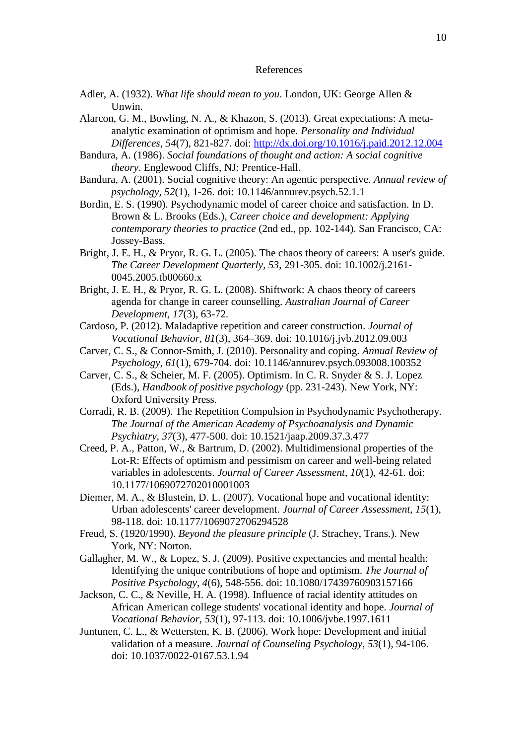#### References

- <span id="page-9-13"></span>Adler, A. (1932). *What life should mean to you*. London, UK: George Allen & Unwin.
- <span id="page-9-6"></span>Alarcon, G. M., Bowling, N. A., & Khazon, S. (2013). Great expectations: A metaanalytic examination of optimism and hope. *Personality and Individual Differences, 54*(7), 821-827. doi:<http://dx.doi.org/10.1016/j.paid.2012.12.004>
- <span id="page-9-5"></span>Bandura, A. (1986). *Social foundations of thought and action: A social cognitive theory*. Englewood Cliffs, NJ: Prentice-Hall.
- <span id="page-9-0"></span>Bandura, A. (2001). Social cognitive theory: An agentic perspective. *Annual review of psychology, 52*(1), 1-26. doi: 10.1146/annurev.psych.52.1.1
- <span id="page-9-12"></span>Bordin, E. S. (1990). Psychodynamic model of career choice and satisfaction. In D. Brown & L. Brooks (Eds.), *Career choice and development: Applying contemporary theories to practice* (2nd ed., pp. 102-144). San Francisco, CA: Jossey-Bass.
- <span id="page-9-15"></span>Bright, J. E. H., & Pryor, R. G. L. (2005). The chaos theory of careers: A user's guide. *The Career Development Quarterly, 53*, 291-305. doi: 10.1002/j.2161- 0045.2005.tb00660.x
- <span id="page-9-16"></span>Bright, J. E. H., & Pryor, R. G. L. (2008). Shiftwork: A chaos theory of careers agenda for change in career counselling. *Australian Journal of Career Development, 17*(3), 63-72.
- <span id="page-9-14"></span>Cardoso, P. (2012). Maladaptive repetition and career construction. *Journal of Vocational Behavior, 81*(3), 364–369. doi: 10.1016/j.jvb.2012.09.003
- <span id="page-9-4"></span>Carver, C. S., & Connor-Smith, J. (2010). Personality and coping. *Annual Review of Psychology, 61*(1), 679-704. doi: 10.1146/annurev.psych.093008.100352
- <span id="page-9-9"></span>Carver, C. S., & Scheier, M. F. (2005). Optimism. In C. R. Snyder & S. J. Lopez (Eds.), *Handbook of positive psychology* (pp. 231-243). New York, NY: Oxford University Press.
- <span id="page-9-11"></span>Corradi, R. B. (2009). The Repetition Compulsion in Psychodynamic Psychotherapy. *The Journal of the American Academy of Psychoanalysis and Dynamic Psychiatry, 37*(3), 477-500. doi: 10.1521/jaap.2009.37.3.477
- <span id="page-9-1"></span>Creed, P. A., Patton, W., & Bartrum, D. (2002). Multidimensional properties of the Lot-R: Effects of optimism and pessimism on career and well-being related variables in adolescents. *Journal of Career Assessment, 10*(1), 42-61. doi: 10.1177/1069072702010001003
- <span id="page-9-2"></span>Diemer, M. A., & Blustein, D. L. (2007). Vocational hope and vocational identity: Urban adolescents' career development. *Journal of Career Assessment, 15*(1), 98-118. doi: 10.1177/1069072706294528
- <span id="page-9-10"></span>Freud, S. (1920/1990). *Beyond the pleasure principle* (J. Strachey, Trans.). New York, NY: Norton.
- <span id="page-9-7"></span>Gallagher, M. W., & Lopez, S. J. (2009). Positive expectancies and mental health: Identifying the unique contributions of hope and optimism. *The Journal of Positive Psychology, 4*(6), 548-556. doi: 10.1080/17439760903157166
- <span id="page-9-3"></span>Jackson, C. C., & Neville, H. A. (1998). Influence of racial identity attitudes on African American college students' vocational identity and hope. *Journal of Vocational Behavior, 53*(1), 97-113. doi: 10.1006/jvbe.1997.1611
- <span id="page-9-8"></span>Juntunen, C. L., & Wettersten, K. B. (2006). Work hope: Development and initial validation of a measure. *Journal of Counseling Psychology, 53*(1), 94-106. doi: 10.1037/0022-0167.53.1.94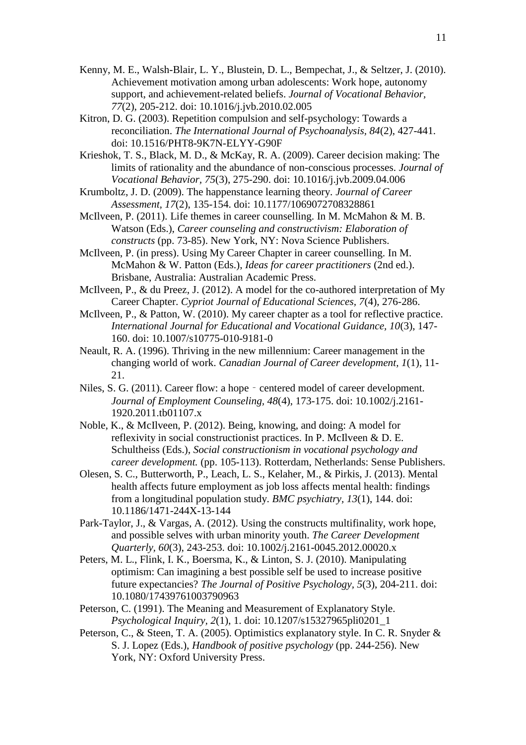- <span id="page-10-3"></span>Kenny, M. E., Walsh-Blair, L. Y., Blustein, D. L., Bempechat, J., & Seltzer, J. (2010). Achievement motivation among urban adolescents: Work hope, autonomy support, and achievement-related beliefs. *Journal of Vocational Behavior, 77*(2), 205-212. doi: 10.1016/j.jvb.2010.02.005
- <span id="page-10-7"></span>Kitron, D. G. (2003). Repetition compulsion and self-psychology: Towards a reconciliation. *The International Journal of Psychoanalysis, 84*(2), 427-441. doi: 10.1516/PHT8-9K7N-ELYY-G90F
- <span id="page-10-8"></span>Krieshok, T. S., Black, M. D., & McKay, R. A. (2009). Career decision making: The limits of rationality and the abundance of non-conscious processes. *Journal of Vocational Behavior, 75*(3), 275-290. doi: 10.1016/j.jvb.2009.04.006
- <span id="page-10-12"></span>Krumboltz, J. D. (2009). The happenstance learning theory. *Journal of Career Assessment, 17*(2), 135-154. doi: 10.1177/1069072708328861
- <span id="page-10-9"></span>McIlveen, P. (2011). Life themes in career counselling. In M. McMahon & M. B. Watson (Eds.), *Career counseling and constructivism: Elaboration of constructs* (pp. 73-85). New York, NY: Nova Science Publishers.
- <span id="page-10-10"></span>McIlveen, P. (in press). Using My Career Chapter in career counselling. In M. McMahon & W. Patton (Eds.), *Ideas for career practitioners* (2nd ed.). Brisbane, Australia: Australian Academic Press.
- <span id="page-10-11"></span>McIlveen, P., & du Preez, J. (2012). A model for the co-authored interpretation of My Career Chapter. *Cypriot Journal of Educational Sciences, 7*(4), 276-286.
- <span id="page-10-14"></span>McIlveen, P., & Patton, W. (2010). My career chapter as a tool for reflective practice. *International Journal for Educational and Vocational Guidance, 10*(3), 147- 160. doi: 10.1007/s10775-010-9181-0
- <span id="page-10-0"></span>Neault, R. A. (1996). Thriving in the new millennium: Career management in the changing world of work. *Canadian Journal of Career development, 1*(1), 11- 21.
- <span id="page-10-1"></span>Niles, S. G. (2011). Career flow: a hope - centered model of career development. *Journal of Employment Counseling, 48*(4), 173-175. doi: 10.1002/j.2161- 1920.2011.tb01107.x
- <span id="page-10-15"></span>Noble, K., & McIlveen, P. (2012). Being, knowing, and doing: A model for reflexivity in social constructionist practices. In P. McIlveen & D. E. Schultheiss (Eds.), *Social constructionism in vocational psychology and career development.* (pp. 105-113). Rotterdam, Netherlands: Sense Publishers.
- <span id="page-10-4"></span>Olesen, S. C., Butterworth, P., Leach, L. S., Kelaher, M., & Pirkis, J. (2013). Mental health affects future employment as job loss affects mental health: findings from a longitudinal population study. *BMC psychiatry, 13*(1), 144. doi: 10.1186/1471-244X-13-144
- <span id="page-10-2"></span>Park-Taylor, J., & Vargas, A. (2012). Using the constructs multifinality, work hope, and possible selves with urban minority youth. *The Career Development Quarterly, 60*(3), 243-253. doi: 10.1002/j.2161-0045.2012.00020.x
- <span id="page-10-13"></span>Peters, M. L., Flink, I. K., Boersma, K., & Linton, S. J. (2010). Manipulating optimism: Can imagining a best possible self be used to increase positive future expectancies? *The Journal of Positive Psychology, 5*(3), 204-211. doi: 10.1080/17439761003790963
- <span id="page-10-5"></span>Peterson, C. (1991). The Meaning and Measurement of Explanatory Style. *Psychological Inquiry, 2*(1), 1. doi: 10.1207/s15327965pli0201\_1
- <span id="page-10-6"></span>Peterson, C., & Steen, T. A. (2005). Optimistics explanatory style. In C. R. Snyder & S. J. Lopez (Eds.), *Handbook of positive psychology* (pp. 244-256). New York, NY: Oxford University Press.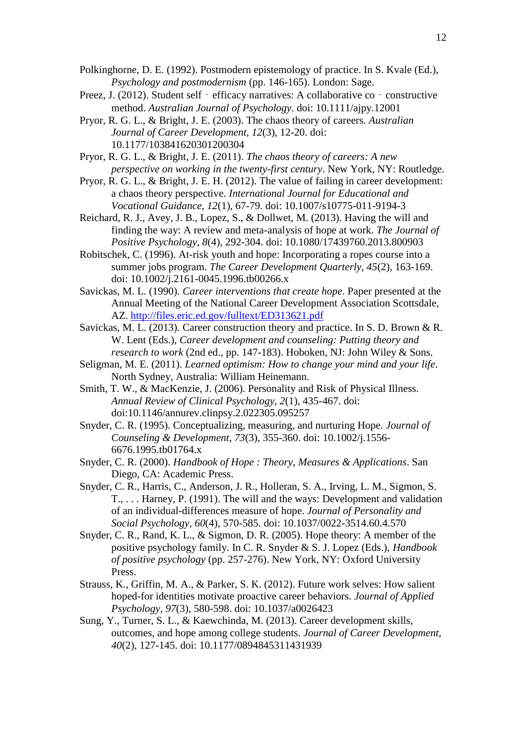- <span id="page-11-11"></span>Polkinghorne, D. E. (1992). Postmodern epistemology of practice. In S. Kvale (Ed.), *Psychology and postmodernism* (pp. 146-165). London: Sage.
- <span id="page-11-13"></span>Preez, J. (2012). Student self - efficacy narratives: A collaborative co - constructive method. *Australian Journal of Psychology*. doi: 10.1111/ajpy.12001
- <span id="page-11-0"></span>Pryor, R. G. L., & Bright, J. E. (2003). The chaos theory of careers. *Australian Journal of Career Development, 12*(3), 12-20. doi: 10.1177/103841620301200304
- <span id="page-11-1"></span>Pryor, R. G. L., & Bright, J. E. (2011). *The chaos theory of careers: A new perspective on working in the twenty-first century*. New York, NY: Routledge.
- <span id="page-11-2"></span>Pryor, R. G. L., & Bright, J. E. H. (2012). The value of failing in career development: a chaos theory perspective. *International Journal for Educational and Vocational Guidance, 12*(1), 67-79. doi: 10.1007/s10775-011-9194-3
- <span id="page-11-9"></span>Reichard, R. J., Avey, J. B., Lopez, S., & Dollwet, M. (2013). Having the will and finding the way: A review and meta-analysis of hope at work. *The Journal of Positive Psychology, 8*(4), 292-304. doi: 10.1080/17439760.2013.800903
- <span id="page-11-4"></span>Robitschek, C. (1996). At-risk youth and hope: Incorporating a ropes course into a summer jobs program. *The Career Development Quarterly, 45*(2), 163-169. doi: 10.1002/j.2161-0045.1996.tb00266.x
- <span id="page-11-3"></span>Savickas, M. L. (1990). *Career interventions that create hope*. Paper presented at the Annual Meeting of the National Career Development Association Scottsdale, AZ.<http://files.eric.ed.gov/fulltext/ED313621.pdf>
- <span id="page-11-10"></span>Savickas, M. L. (2013). Career construction theory and practice. In S. D. Brown & R. W. Lent (Eds.), *Career development and counseling: Putting theory and research to work* (2nd ed., pp. 147-183). Hoboken, NJ: John Wiley & Sons.
- <span id="page-11-6"></span>Seligman, M. E. (2011). *Learned optimism: How to change your mind and your life*. North Sydney, Australia: William Heinemann.
- <span id="page-11-8"></span>Smith, T. W., & MacKenzie, J. (2006). Personality and Risk of Physical Illness. *Annual Review of Clinical Psychology, 2*(1), 435-467. doi: doi:10.1146/annurev.clinpsy.2.022305.095257
- <span id="page-11-14"></span>Snyder, C. R. (1995). Conceptualizing, measuring, and nurturing Hope. *Journal of Counseling & Development, 73*(3), 355-360. doi: 10.1002/j.1556- 6676.1995.tb01764.x
- <span id="page-11-12"></span>Snyder, C. R. (2000). *Handbook of Hope : Theory, Measures & Applications*. San Diego, CA: Academic Press.
- <span id="page-11-7"></span>Snyder, C. R., Harris, C., Anderson, J. R., Holleran, S. A., Irving, L. M., Sigmon, S. T., . . . Harney, P. (1991). The will and the ways: Development and validation of an individual-differences measure of hope. *Journal of Personality and Social Psychology, 60*(4), 570-585. doi: 10.1037/0022-3514.60.4.570
- <span id="page-11-15"></span>Snyder, C. R., Rand, K. L., & Sigmon, D. R. (2005). Hope theory: A member of the positive psychology family. In C. R. Snyder & S. J. Lopez (Eds.), *Handbook of positive psychology* (pp. 257-276). New York, NY: Oxford University Press.
- <span id="page-11-16"></span>Strauss, K., Griffin, M. A., & Parker, S. K. (2012). Future work selves: How salient hoped-for identities motivate proactive career behaviors. *Journal of Applied Psychology, 97*(3), 580-598. doi: 10.1037/a0026423
- <span id="page-11-5"></span>Sung, Y., Turner, S. L., & Kaewchinda, M. (2013). Career development skills, outcomes, and hope among college students. *Journal of Career Development, 40*(2), 127-145. doi: 10.1177/0894845311431939